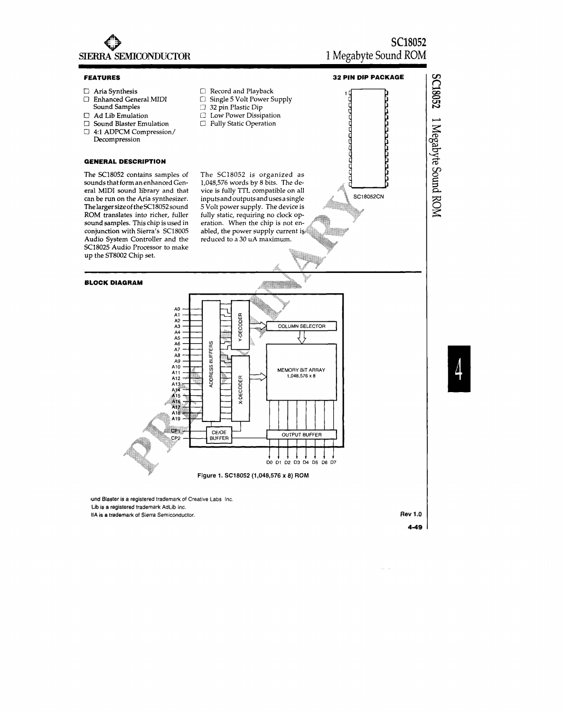

IIA is a trademark of Sierra Semiconductor.

Rev 1.0 **4-49**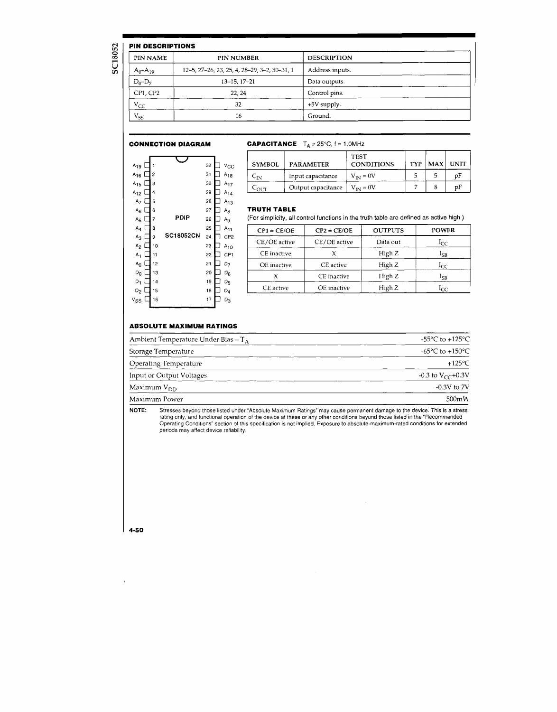## H DECODIE

SC18052

|                | <b>PIN DESCRIPTIONS</b>                      |                    |  |
|----------------|----------------------------------------------|--------------------|--|
| PIN NAME       | <b>PIN NUMBER</b>                            | <b>DESCRIPTION</b> |  |
| $A_0 - A_{19}$ | 12-5, 27-26, 23, 25, 4, 28-29, 3-2, 30-31, 1 | Address inputs.    |  |
| $D_0 - D_7$    | $13 - 15, 17 - 21$                           | Data outputs.      |  |
| CP1, CP2       | 22.24                                        | Control pins.      |  |
| $V_{CC}$       | 32                                           | $+5V$ supply.      |  |
| $V_{SS}$       | 16                                           | Ground.            |  |

### **CONNECTION DIAGRAM**

| <b>CAPACITANCE</b> $T_A = 25^{\circ}C$ , $f = 1.0$ MHz |
|--------------------------------------------------------|
|                                                        |

| A <sub>19</sub> |    | ٦  |                  | 32 | $v_{\rm CC}$   |
|-----------------|----|----|------------------|----|----------------|
| $A_{16}$        | L  | 2  |                  | 31 | $A_{18}$       |
| $A_{15}$        |    | 3  |                  | 30 | $A_{17}$       |
| $A_{12}$        |    | 4  |                  | 29 | $A_{14}$       |
| A <sub>7</sub>  | L  | 5  |                  | 28 | $A_{13}$       |
| $A_6$           | L. | 6  |                  | 27 | $A_8$          |
| ${\sf A}_5$     | L  | 7  | PDIP             | 26 | A <sub>9</sub> |
| A <sub>4</sub>  | l  | 8  |                  | 25 | $A_{11}$       |
| $A_{3}$         | L  | 9  | <b>SC18052CN</b> | 24 | CP2            |
| A <sub>2</sub>  |    | 10 |                  | 23 | $A_{10}$       |
| A <sub>1</sub>  |    | 11 |                  | 22 | CP1            |
| $A_0$           |    | 12 |                  | 21 | $D_7$          |
| $D_0$           |    | 13 |                  | 20 | $D_6$          |
| $D_1$           |    | 14 |                  | 19 | D5             |
| $D_2$           |    | 15 |                  | 18 | D <sub>4</sub> |
|                 |    |    |                  |    |                |
| ٧ss             |    | 16 |                  | 17 | $D_3$          |

| <b>SYMBOL</b> | <b>PARAMETER</b>   | <b>TEST</b><br><b>CONDITIONS</b> | <b>TYP</b> | MAX | <b>UNIT</b> |
|---------------|--------------------|----------------------------------|------------|-----|-------------|
| ЧΝ            | Input capacitance  | $V_{IN} = 0V$                    |            |     | рF          |
| ד: ורז–       | Output capacitance | $V_{\text{IM}} = 0V$             |            |     | υF          |

#### **TRUTH TABLE**

(For simplicity, all control functions in the truth table are defined as active high.)

| $CP1 = CE/OE$ | $CP2 = CE/OE$ | <b>OUTPUTS</b> | POWER        |
|---------------|---------------|----------------|--------------|
| CE/OE active  | CE/OE active  | Data out       | $1_{CC}$     |
| CE inactive   |               | High Z         | $_{\rm LSB}$ |
| OE inactive   | CE active     | High Z         | $1_{CC}$     |
|               | CE inactive   | High Z         | lsr          |
| CE active     | OE inactive   | High Z         | lcc          |

 $\sim$ 

# **ABSOLUTE MAXIMUM RATINGS**

| Ambient Temperature Under Bias – $T_A$ | -55°C to +125°C                       |
|----------------------------------------|---------------------------------------|
| Storage Temperature                    | -65 $^{\circ}$ C to +150 $^{\circ}$ C |
| Operating Temperature                  | $+125\degree$ C                       |
| Input or Output Voltages               | $-0.3$ to $V_{CC}+0.3V$               |
| Maximum V <sub>DD</sub>                | $-0.3V$ to $7V$                       |
| Maximum Power                          | 500mW                                 |

Stresses beyond those listed under "Absolute Maximum Ratings" may cause permanent damage to the device. This is a stress<br>rating only, and functional operation of the device at these or any other conditions beyond those lis NOTE:

4.50

 $\mathbf{r}$